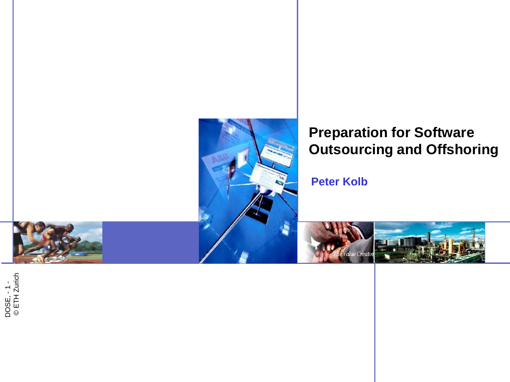

### **Preparation for Software Outsourcing and Offshoring**

 **Peter Kolb**



'alue Creato

DOSE, - 1 -<br>© ETH Zurich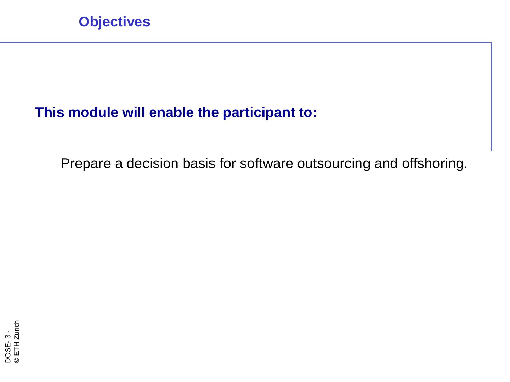### **This module will enable the participant to:**

Prepare a decision basis for software outsourcing and offshoring.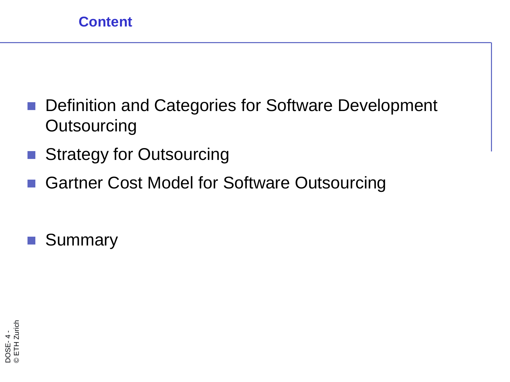- Definition and Categories for Software Development **Outsourcing**
- Strategy for Outsourcing
- Gartner Cost Model for Software Outsourcing

**Summary**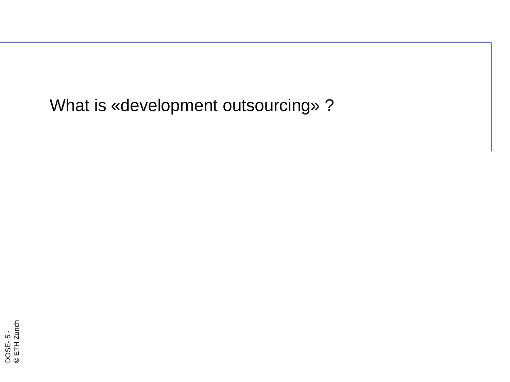What is «development outsourcing» ?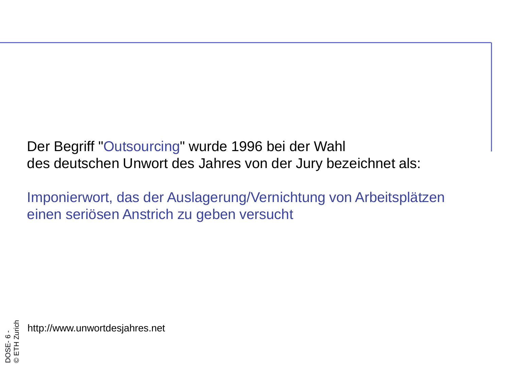Der Begriff "Outsourcing" wurde 1996 bei der Wahl des deutschen Unwort des Jahres von der Jury bezeichnet als:

Imponierwort, das der Auslagerung/Vernichtung von Arbeitsplätzen einen seriösen Anstrich zu geben versucht

DOSE- 6 - © ETH Zurich http://www.unwortdesjahres.net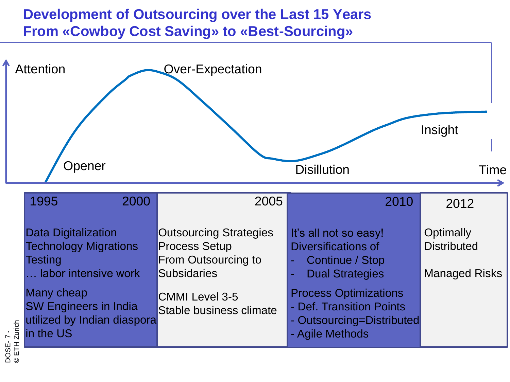### **Development of Outsourcing over the Last 15 Years From «Cowboy Cost Saving» to «Best-Sourcing»**

| <b>Over-Expectation</b>                                                                            | <b>Disillution</b>                                                                        | Insight<br>Time                                         |
|----------------------------------------------------------------------------------------------------|-------------------------------------------------------------------------------------------|---------------------------------------------------------|
| 2005                                                                                               | 2010                                                                                      | 2012                                                    |
| <b>Outsourcing Strategies</b><br><b>Process Setup</b><br>From Outsourcing to<br><b>Subsidaries</b> | It's all not so easy!<br>Diversifications of<br>Continue / Stop<br><b>Dual Strategies</b> | Optimally<br><b>Distributed</b><br><b>Managed Risks</b> |
| <b>CMMI Level 3-5</b><br>Stable business climate                                                   | <b>Process Optimizations</b><br>- Def. Transition Points<br>- Agile Methods               |                                                         |
| 2000                                                                                               | utilized by Indian diaspora                                                               | - Outsourcing=Distributed                               |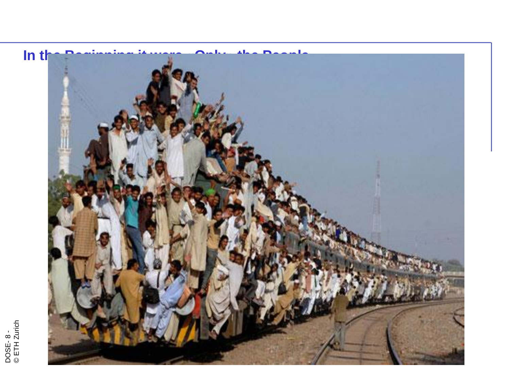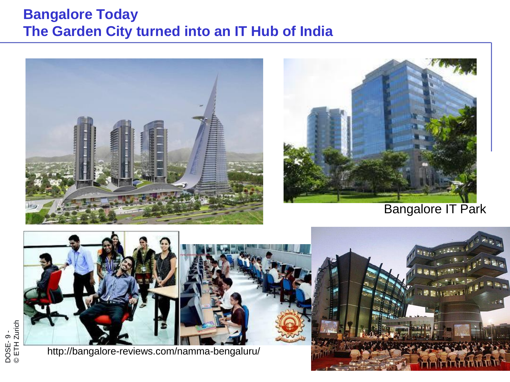#### **Bangalore Today The Garden City turned into an IT Hub of India**





Bangalore IT Park



http://bangalore-reviews.com/namma-bengaluru/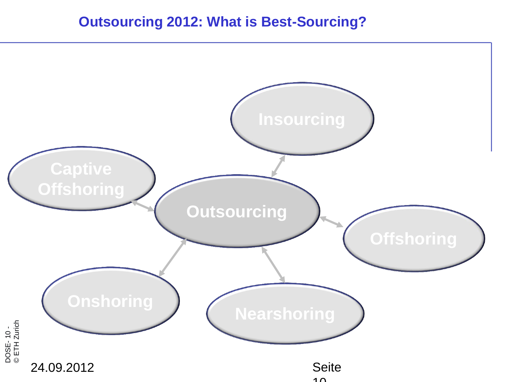#### **Outsourcing 2012: What is Best-Sourcing?**

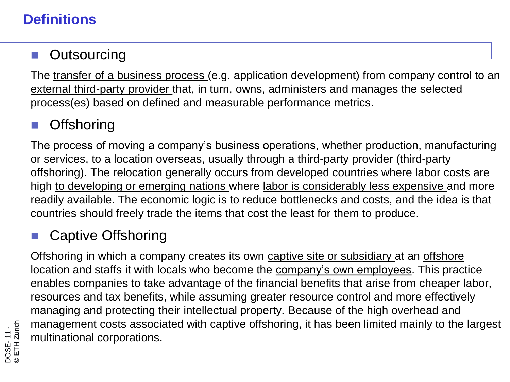### **Definitions**

### **Outsourcing**

The transfer of a business process (e.g. application development) from company control to an external third-party provider that, in turn, owns, administers and manages the selected process(es) based on defined and measurable performance metrics.

## **Offshoring**

The process of moving a company's business operations, whether production, manufacturing or services, to a location overseas, usually through a third-party provider (third-party offshoring). The relocation generally occurs from developed countries where labor costs are high to developing or emerging nations where labor is considerably less expensive and more readily available. The economic logic is to reduce bottlenecks and costs, and the idea is that countries should freely trade the items that cost the least for them to produce.

# Captive Offshoring

Offshoring in which a company creates its own captive site or subsidiary at an offshore location and staffs it with locals who become the company's own employees. This practice enables companies to take advantage of the financial benefits that arise from cheaper labor, resources and tax benefits, while assuming greater resource control and more effectively managing and protecting their intellectual property. Because of the high overhead and management costs associated with captive offshoring, it has been limited mainly to the largest multinational corporations.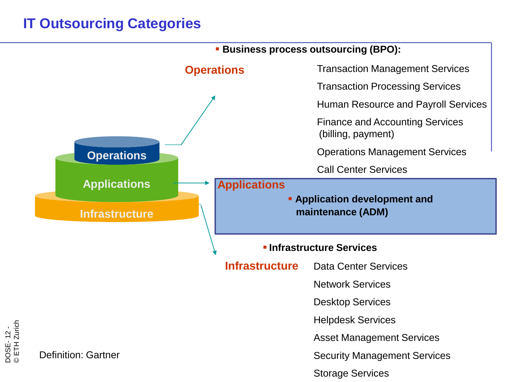## **IT Outsourcing Categories**

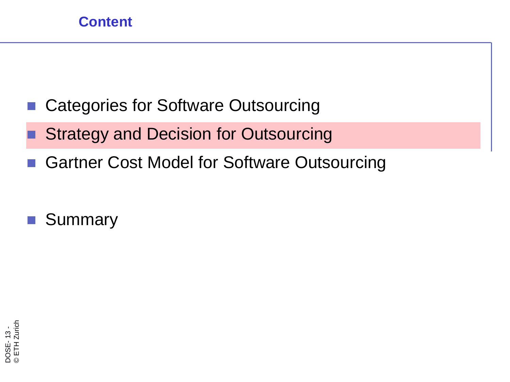- Categories for Software Outsourcing
- Strategy and Decision for Outsourcing
- Gartner Cost Model for Software Outsourcing
- **Summary**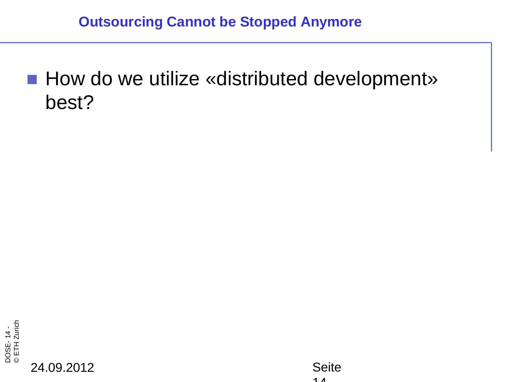■ How do we utilize «distributed development» best?



24.09.2012 Seite

 $\begin{array}{cc} 1 & 1 \\ 1 & 1 \end{array}$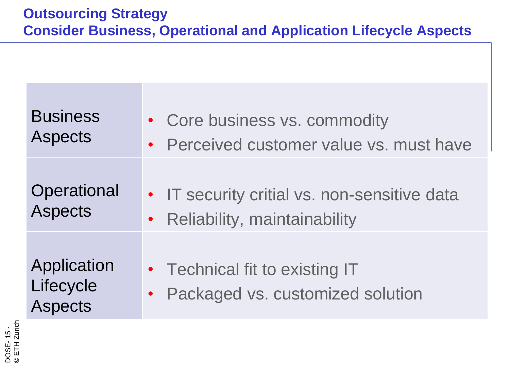| <b>Business</b>                            | • Core business vs. commodity                                        |
|--------------------------------------------|----------------------------------------------------------------------|
| <b>Aspects</b>                             | • Perceived customer value vs. must have                             |
| Operational                                | • IT security critial vs. non-sensitive data                         |
| <b>Aspects</b>                             | • Reliability, maintainability                                       |
| Application<br>Lifecycle<br><b>Aspects</b> | • Technical fit to existing IT<br>• Packaged vs. customized solution |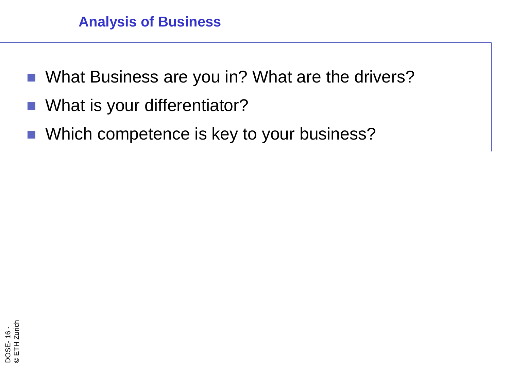- What Business are you in? What are the drivers?
- What is your differentiator?
- Which competence is key to your business?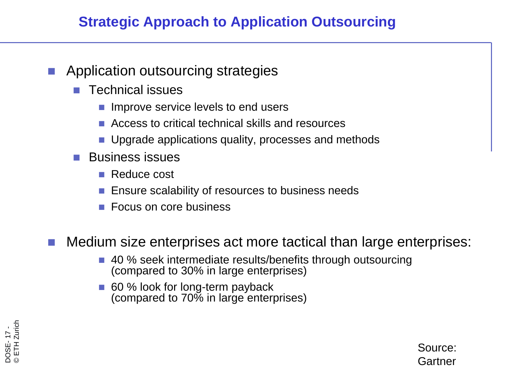### **Strategic Approach to Application Outsourcing**

- Application outsourcing strategies
	- Technical issues
		- **Improve service levels to end users**
		- **Access to critical technical skills and resources**
		- Upgrade applications quality, processes and methods
	- **Business issues** 
		- Reduce cost
		- Ensure scalability of resources to business needs
		- Focus on core business

#### Medium size enterprises act more tactical than large enterprises:

- 40 % seek intermediate results/benefits through outsourcing (compared to 30% in large enterprises)
- 60 % look for long-term payback (compared to 70% in large enterprises)



Source: Gartner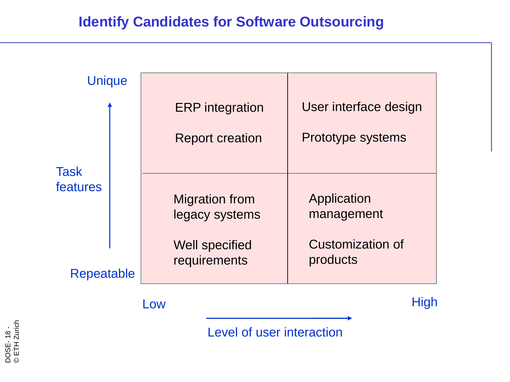| <b>Unique</b>     |  |                                         |                              |
|-------------------|--|-----------------------------------------|------------------------------|
|                   |  | <b>ERP</b> integration                  | User interface design        |
| Task<br>features  |  | <b>Report creation</b>                  | Prototype systems            |
|                   |  | <b>Migration from</b><br>legacy systems | Application<br>management    |
| <b>Repeatable</b> |  | <b>Well specified</b><br>requirements   | Customization of<br>products |
|                   |  | <b>_OW</b>                              | <b>High</b>                  |

Level of user interaction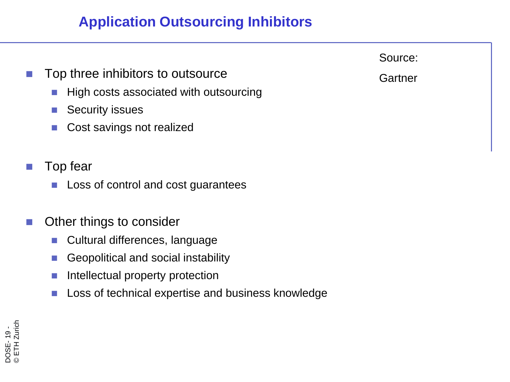### **Application Outsourcing Inhibitors**

- Top three inhibitors to outsource
	- High costs associated with outsourcing
	- Security issues
	- Cost savings not realized
- Top fear
	- **Loss of control and cost guarantees**
- Other things to consider
	- Cultural differences, language
	- Geopolitical and social instability
	- **Intellectual property protection**
	- Loss of technical expertise and business knowledge



**Gartner**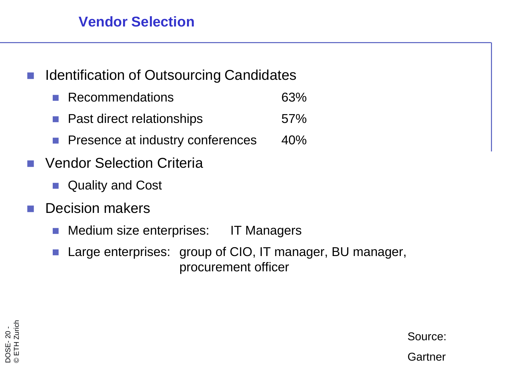#### **Vendor Selection**

- Identification of Outsourcing Candidates
	- Recommendations 63%
	- **Past direct relationships** 67%
	- **Presence at industry conferences** 40%
- Vendor Selection Criteria
	- Quality and Cost
- Decision makers
	- Medium size enterprises: IT Managers
	- Large enterprises: group of CIO, IT manager, BU manager, procurement officer

DOSE- 20 -<br>© ETH Zurio ETH Zurich

Source:

**Gartner**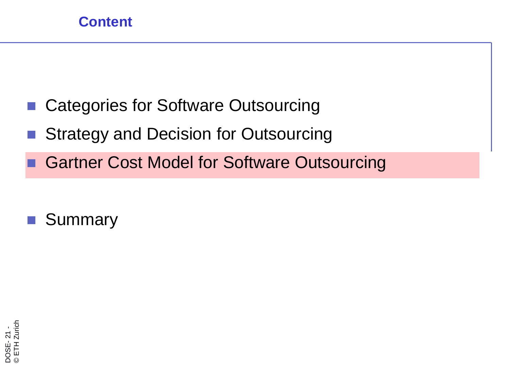- Categories for Software Outsourcing
- Strategy and Decision for Outsourcing
	- Gartner Cost Model for Software Outsourcing
- **Summary**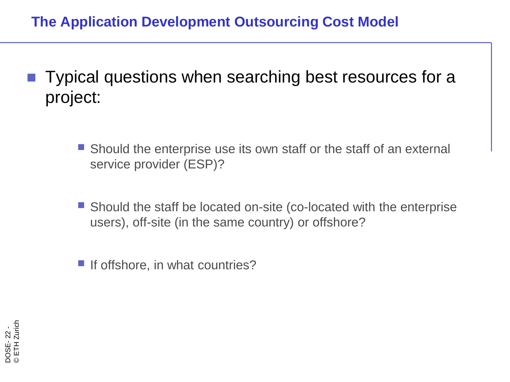### **The Application Development Outsourcing Cost Model**

- Typical questions when searching best resources for a project:
	- Should the enterprise use its own staff or the staff of an external service provider (ESP)?
	- Should the staff be located on-site (co-located with the enterprise users), off-site (in the same country) or offshore?
	- If offshore, in what countries?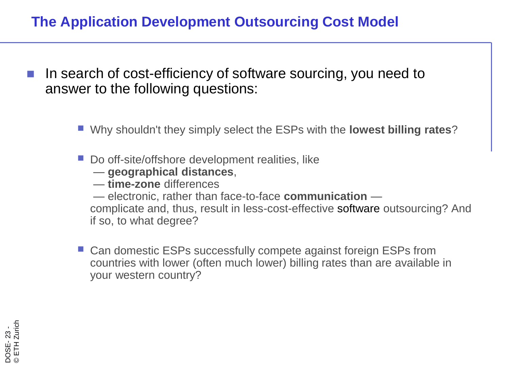#### **The Application Development Outsourcing Cost Model**

- In search of cost-efficiency of software sourcing, you need to answer to the following questions:
	- Why shouldn't they simply select the ESPs with the **lowest billing rates**?
	- Do off-site/offshore development realities, like
		- **geographical distances**,
		- **time-zone** differences
		- electronic, rather than face-to-face **communication** —

complicate and, thus, result in less-cost-effective software outsourcing? And if so, to what degree?

■ Can domestic ESPs successfully compete against foreign ESPs from countries with lower (often much lower) billing rates than are available in your western country?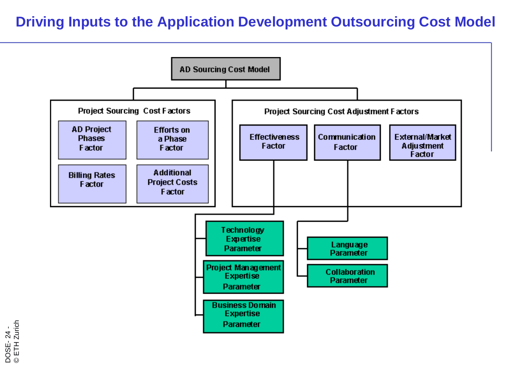#### **Driving Inputs to the Application Development Outsourcing Cost Model**



DOSE- 24 - © ETH Zurich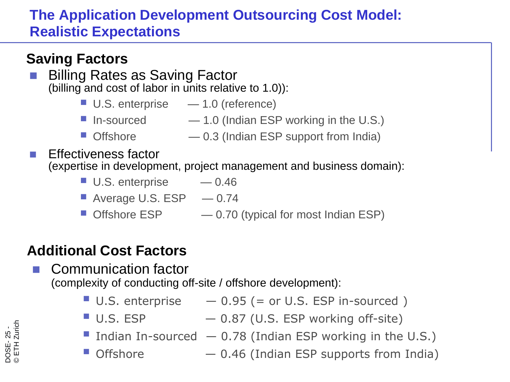## **The Application Development Outsourcing Cost Model: Realistic Expectations**

### **Saving Factors**

- Billing Rates as Saving Factor (billing and cost of labor in units relative to 1.0)):
	- U.S. enterprise 1.0 (reference)
	- In-sourced  $-1.0$  (Indian ESP working in the U.S.)
	- Offshore 0.3 (Indian ESP support from India)
- Effectiveness factor (expertise in development, project management and business domain):
	- U.S. enterprise  $-0.46$
	- Average U.S.  $ESP = 0.74$
	- Offshore  $ESP = 0.70$  (typical for most Indian  $ESP$ )

# **Additional Cost Factors**

 Communication factor (complexity of conducting off-site / offshore development):

- $\blacksquare$  U.S. enterprise  $-0.95$  (= or U.S. ESP in-sourced)
- $\blacksquare$  U.S. ESP  $\blacksquare$   $-$  0.87 (U.S. ESP working off-site)
- Indian In-sourced  $-0.78$  (Indian ESP working in the U.S.)
- $\blacksquare$  Offshore  $-0.46$  (Indian ESP supports from India)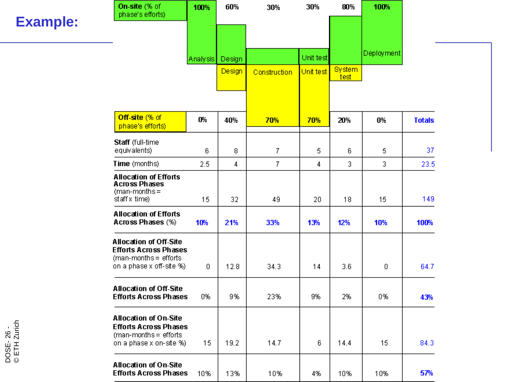|                           | On-site (% of<br>phase's efforts)                                                                                  | 100%     | 60%    | 30%            | 30%       | 80%                   | 100%              |               |
|---------------------------|--------------------------------------------------------------------------------------------------------------------|----------|--------|----------------|-----------|-----------------------|-------------------|---------------|
| <b>Example:</b>           |                                                                                                                    |          |        |                |           |                       |                   |               |
|                           |                                                                                                                    | Analysis | Design |                | Unit test |                       | <b>Deployment</b> |               |
|                           |                                                                                                                    |          | Design | Construction   | Unit test | <b>System</b><br>test |                   |               |
|                           |                                                                                                                    |          |        |                |           |                       |                   |               |
|                           | Off-site (% of<br>phase's efforts)                                                                                 | 0%       | 40%    | 70%            | 70%       | 20%                   | 0%                | <b>Totals</b> |
|                           | Staff (full-time<br>equivalents)                                                                                   | 6        | 8      | 7              | 5.        | 6                     | 5                 | 37            |
|                           | Time (months)                                                                                                      | 2.5      | 4      | 7 <sup>1</sup> | 4         | 3                     | 3.                | 23.5          |
|                           | <b>Allocation of Efforts</b><br><b>Across Phases</b><br>$(man-months =$<br>staff x time)                           | 15       | 32     | 49             | 20        | 18                    | 15                | 149           |
|                           | <b>Allocation of Efforts</b><br>Across Phases (%)                                                                  | 10%      | 21%    | 33%            | 13%       | 12%                   | 10%               | 100%          |
|                           | <b>Allocation of Off-Site</b><br><b>Efforts Across Phases</b><br>(man-months = efforts<br>on a phase x off-site %) | 0        | 12.8   | 34.3           | 14        | 3.6                   | 0                 | 64.7          |
|                           | <b>Allocation of Off-Site</b><br><b>Efforts Across Phases</b>                                                      | 0%       | 9%     | 23%            | 9%        | 2%                    | 0%                | 43%           |
| DOSE-26 -<br>© ETH Zurich | <b>Allocation of On-Site</b><br><b>Efforts Across Phases</b><br>(man-months = efforts<br>on a phase x on-site %)   | 15       | 19.2   | 14.7           | 6         | 14.4                  | 15                | 84.3          |
|                           | <b>Allocation of On-Site</b><br><b>Efforts Across Phases</b>                                                       | 10%      | 13%    | 10%            | 4%        | 10%                   | 10%               | 57%           |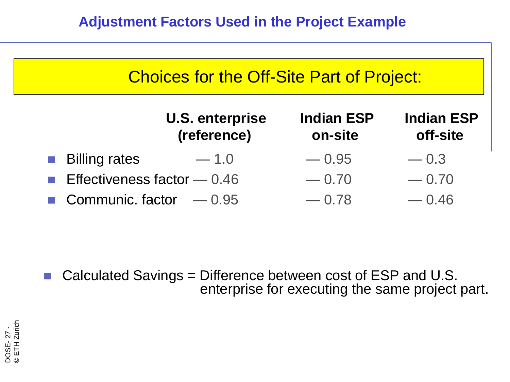| <b>Choices for the Off-Site Part of Project:</b> |                              |                               |  |  |  |  |  |
|--------------------------------------------------|------------------------------|-------------------------------|--|--|--|--|--|
| <b>U.S. enterprise</b><br>(reference)            | <b>Indian ESP</b><br>on-site | <b>Indian ESP</b><br>off-site |  |  |  |  |  |
| <b>Billing rates</b><br>$-1.0$                   | $-0.95$                      | $-0.3$                        |  |  |  |  |  |
| <b>Effectiveness factor</b> $- 0.46$             | $-0.70$                      | $-0.70$                       |  |  |  |  |  |
| <b>Communic. factor</b> $-0.95$                  | $-0.78$                      | $-0.46$                       |  |  |  |  |  |

 Calculated Savings = Difference between cost of ESP and U.S. enterprise for executing the same project part.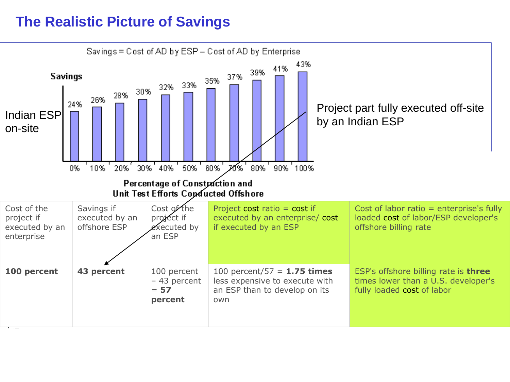#### **The Realistic Picture of Savings**

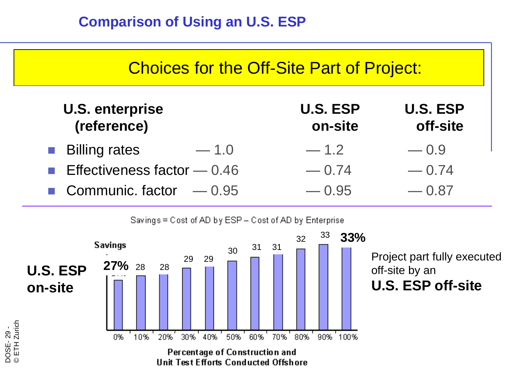

Savings = Cost of AD by ESP - Cost of AD by Enterprise

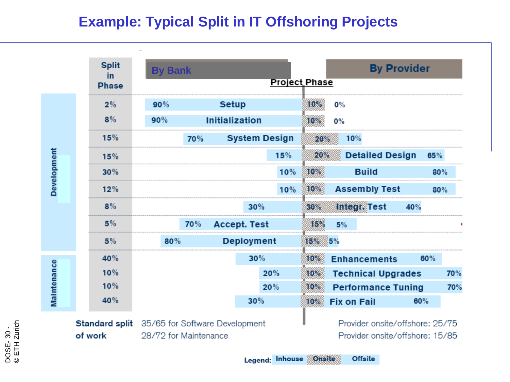#### **Example: Typical Split in IT Offshoring Projects**

|             | <b>Split</b><br>in. | <b>By Bank</b>                                |                       |     |               | <b>By Provider</b>              |     |     |
|-------------|---------------------|-----------------------------------------------|-----------------------|-----|---------------|---------------------------------|-----|-----|
|             | <b>Phase</b>        |                                               |                       |     | Project Phase |                                 |     |     |
|             | 2%                  | 90%                                           | <b>Setup</b>          |     | 10%           | 0%                              |     |     |
|             | 8%                  | 90%                                           | <b>Initialization</b> |     | 0%<br>10%     |                                 |     |     |
| Development | 15%                 | 70%                                           | <b>System Design</b>  |     | 20%           | 10%                             |     |     |
|             | 15%                 |                                               |                       | 15% | 20%           | <b>Detailed Design</b>          | 65% |     |
|             | 30%                 |                                               |                       | 10% | 10%           | <b>Build</b>                    |     | 80% |
|             | 12%                 |                                               |                       | 10% | 10%           | <b>Assembly Test</b>            | 80% |     |
|             | 8%                  |                                               | 30%                   |     | 30%           | Integr. Test                    | 40% |     |
|             | 5%                  | 70%                                           | <b>Accept. Test</b>   |     | 15%           | 5%                              |     |     |
|             | 5%                  | 80%                                           | <b>Deployment</b>     |     |               |                                 |     |     |
|             | 40%                 |                                               | 30%                   |     | 10%           | <b>Enhancements</b>             | 60% |     |
| Maintenance | 10%                 |                                               |                       | 20% | 10%           | <b>Technical Upgrades</b>       |     | 70% |
|             | 10%                 |                                               |                       | 20% |               | <b>Performance Tuning</b>       |     | 70% |
|             | 40%                 |                                               | 30%                   |     | $10\%$        | <b>Fix on Fail</b>              | 60% |     |
|             |                     | Standard split 35/65 for Software Development |                       |     |               | Provider onsite/offshore: 25/75 |     |     |

evelopment of work 28/72 for Maintenance

вне/онзпоге. Provider onsite/offshore: 15/85

Legend: Inhouse Onsite **Offsite**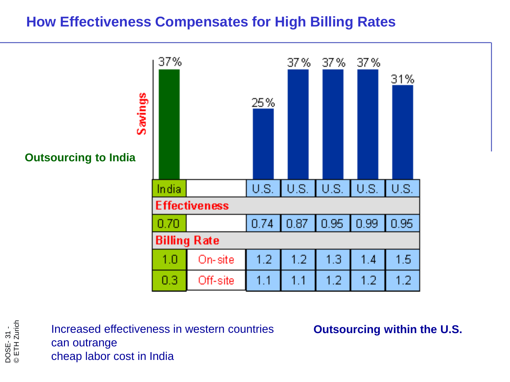#### **How Effectiveness Compensates for High Billing Rates**



Increased effectiveness in western countries **Outsourcing within the U.S.** can outrange cheap labor cost in India